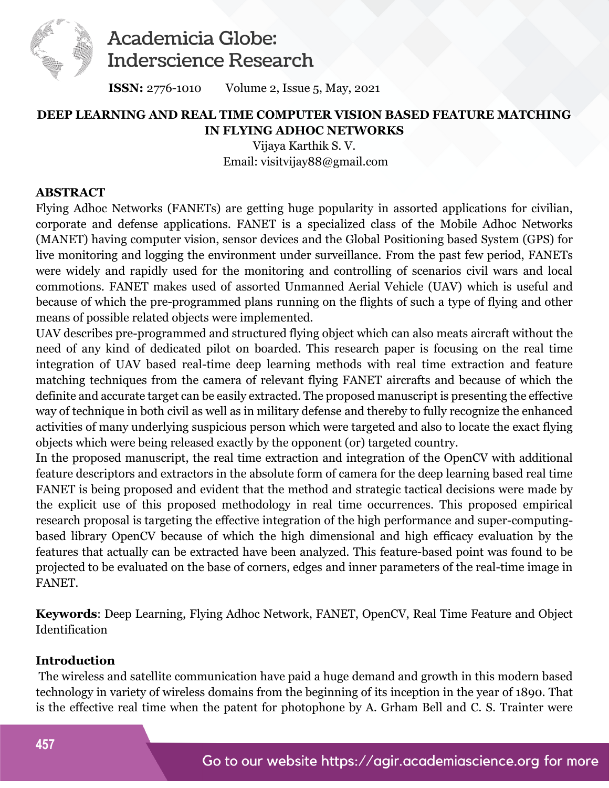

 **ISSN:** 2776-1010Volume 2, Issue 5, May, 2021

#### **DEEP LEARNING AND REAL TIME COMPUTER VISION BASED FEATURE MATCHING IN FLYING ADHOC NETWORKS**

Vijaya Karthik S. V. Email: visitvijay88@gmail.com

#### **ABSTRACT**

Flying Adhoc Networks (FANETs) are getting huge popularity in assorted applications for civilian, corporate and defense applications. FANET is a specialized class of the Mobile Adhoc Networks (MANET) having computer vision, sensor devices and the Global Positioning based System (GPS) for live monitoring and logging the environment under surveillance. From the past few period, FANETs were widely and rapidly used for the monitoring and controlling of scenarios civil wars and local commotions. FANET makes used of assorted Unmanned Aerial Vehicle (UAV) which is useful and because of which the pre-programmed plans running on the flights of such a type of flying and other means of possible related objects were implemented.

UAV describes pre-programmed and structured flying object which can also meats aircraft without the need of any kind of dedicated pilot on boarded. This research paper is focusing on the real time integration of UAV based real-time deep learning methods with real time extraction and feature matching techniques from the camera of relevant flying FANET aircrafts and because of which the definite and accurate target can be easily extracted. The proposed manuscript is presenting the effective way of technique in both civil as well as in military defense and thereby to fully recognize the enhanced activities of many underlying suspicious person which were targeted and also to locate the exact flying objects which were being released exactly by the opponent (or) targeted country.

In the proposed manuscript, the real time extraction and integration of the OpenCV with additional feature descriptors and extractors in the absolute form of camera for the deep learning based real time FANET is being proposed and evident that the method and strategic tactical decisions were made by the explicit use of this proposed methodology in real time occurrences. This proposed empirical research proposal is targeting the effective integration of the high performance and super-computingbased library OpenCV because of which the high dimensional and high efficacy evaluation by the features that actually can be extracted have been analyzed. This feature-based point was found to be projected to be evaluated on the base of corners, edges and inner parameters of the real-time image in FANET.

**Keywords**: Deep Learning, Flying Adhoc Network, FANET, OpenCV, Real Time Feature and Object Identification

#### **Introduction**

 The wireless and satellite communication have paid a huge demand and growth in this modern based technology in variety of wireless domains from the beginning of its inception in the year of 1890. That is the effective real time when the patent for photophone by A. Grham Bell and C. S. Trainter were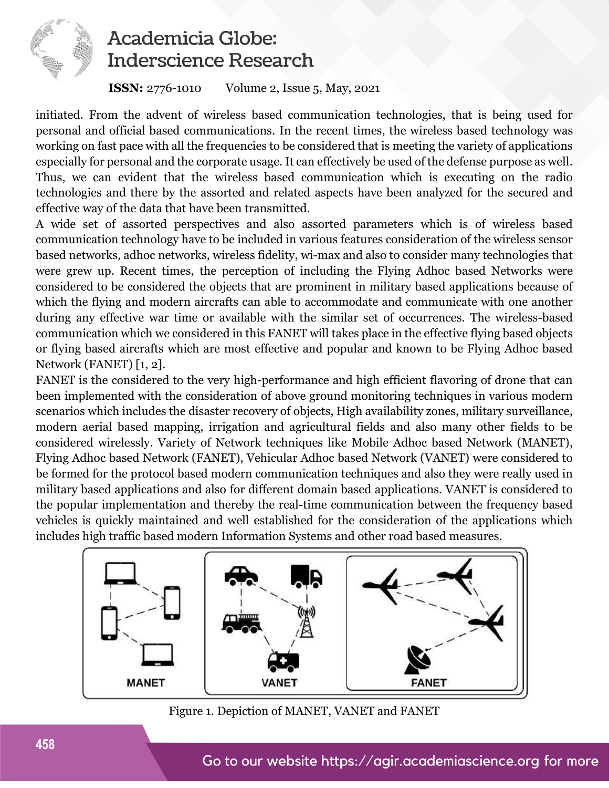

#### **ISSN:** 2776-1010Volume 2, Issue 5, May, 2021

initiated. From the advent of wireless based communication technologies, that is being used for personal and official based communications. In the recent times, the wireless based technology was working on fast pace with all the frequencies to be considered that is meeting the variety of applications especially for personal and the corporate usage. It can effectively be used of the defense purpose as well. Thus, we can evident that the wireless based communication which is executing on the radio technologies and there by the assorted and related aspects have been analyzed for the secured and effective way of the data that have been transmitted.

A wide set of assorted perspectives and also assorted parameters which is of wireless based communication technology have to be included in various features consideration of the wireless sensor based networks, adhoc networks, wireless fidelity, wi-max and also to consider many technologies that were grew up. Recent times, the perception of including the Flying Adhoc based Networks were considered to be considered the objects that are prominent in military based applications because of which the flying and modern aircrafts can able to accommodate and communicate with one another during any effective war time or available with the similar set of occurrences. The wireless-based communication which we considered in this FANET will takes place in the effective flying based objects or flying based aircrafts which are most effective and popular and known to be Flying Adhoc based Network (FANET) [1, 2].

FANET is the considered to the very high-performance and high efficient flavoring of drone that can been implemented with the consideration of above ground monitoring techniques in various modern scenarios which includes the disaster recovery of objects, High availability zones, military surveillance, modern aerial based mapping, irrigation and agricultural fields and also many other fields to be considered wirelessly. Variety of Network techniques like Mobile Adhoc based Network (MANET), Flying Adhoc based Network (FANET), Vehicular Adhoc based Network (VANET) were considered to be formed for the protocol based modern communication techniques and also they were really used in military based applications and also for different domain based applications. VANET is considered to the popular implementation and thereby the real-time communication between the frequency based vehicles is quickly maintained and well established for the consideration of the applications which includes high traffic based modern Information Systems and other road based measures.



Figure 1. Depiction of MANET, VANET and FANET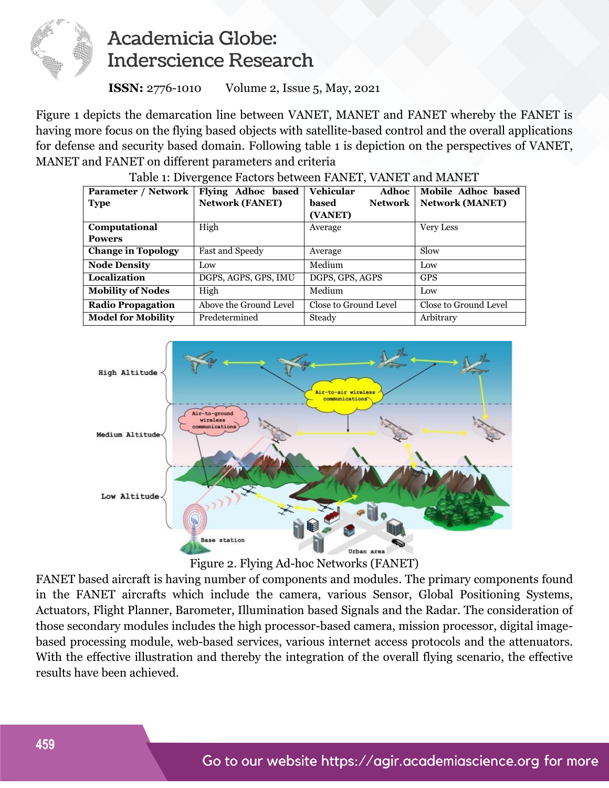

 **ISSN:** 2776-1010Volume 2, Issue 5, May, 2021

Figure 1 depicts the demarcation line between VANET, MANET and FANET whereby the FANET is having more focus on the flying based objects with satellite-based control and the overall applications for defense and security based domain. Following table 1 is depiction on the perspectives of VANET, MANET and FANET on different parameters and criteria

| Parameter / Network       | Flying Adhoc based     | <b>Vehicular</b><br>Adhoc | Mobile Adhoc based     |
|---------------------------|------------------------|---------------------------|------------------------|
| <b>Type</b>               | <b>Network (FANET)</b> | based<br><b>Network</b>   | <b>Network (MANET)</b> |
|                           |                        | (VANET)                   |                        |
| Computational             | High                   | Average                   | <b>Very Less</b>       |
| <b>Powers</b>             |                        |                           |                        |
| <b>Change in Topology</b> | Fast and Speedy        | Average                   | Slow                   |
| <b>Node Density</b>       | Low                    | Medium                    | Low                    |
| Localization              | DGPS, AGPS, GPS, IMU   | DGPS, GPS, AGPS           | <b>GPS</b>             |
| <b>Mobility of Nodes</b>  | High                   | Medium                    | Low                    |
| <b>Radio Propagation</b>  | Above the Ground Level | Close to Ground Level     | Close to Ground Level  |
| <b>Model for Mobility</b> | Predetermined          | Steady                    | Arbitrary              |

Table 1: Divergence Factors between FANET, VANET and MANET





FANET based aircraft is having number of components and modules. The primary components found in the FANET aircrafts which include the camera, various Sensor, Global Positioning Systems, Actuators, Flight Planner, Barometer, Illumination based Signals and the Radar. The consideration of those secondary modules includes the high processor-based camera, mission processor, digital imagebased processing module, web-based services, various internet access protocols and the attenuators. With the effective illustration and thereby the integration of the overall flying scenario, the effective results have been achieved.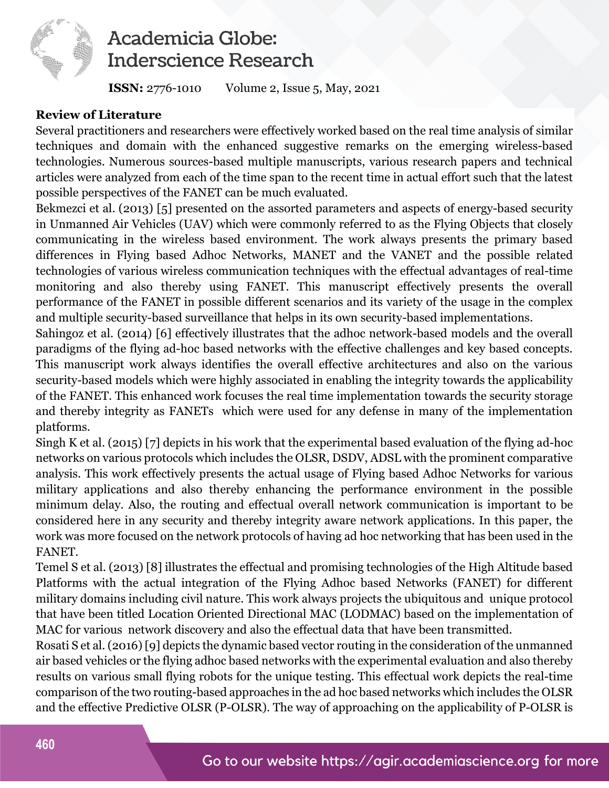

 **ISSN:** 2776-1010Volume 2, Issue 5, May, 2021

#### **Review of Literature**

Several practitioners and researchers were effectively worked based on the real time analysis of similar techniques and domain with the enhanced suggestive remarks on the emerging wireless-based technologies. Numerous sources-based multiple manuscripts, various research papers and technical articles were analyzed from each of the time span to the recent time in actual effort such that the latest possible perspectives of the FANET can be much evaluated.

Bekmezci et al. (2013) [5] presented on the assorted parameters and aspects of energy-based security in Unmanned Air Vehicles (UAV) which were commonly referred to as the Flying Objects that closely communicating in the wireless based environment. The work always presents the primary based differences in Flying based Adhoc Networks, MANET and the VANET and the possible related technologies of various wireless communication techniques with the effectual advantages of real-time monitoring and also thereby using FANET. This manuscript effectively presents the overall performance of the FANET in possible different scenarios and its variety of the usage in the complex and multiple security-based surveillance that helps in its own security-based implementations.

Sahingoz et al. (2014) [6] effectively illustrates that the adhoc network-based models and the overall paradigms of the flying ad-hoc based networks with the effective challenges and key based concepts. This manuscript work always identifies the overall effective architectures and also on the various security-based models which were highly associated in enabling the integrity towards the applicability of the FANET. This enhanced work focuses the real time implementation towards the security storage and thereby integrity as FANETs which were used for any defense in many of the implementation platforms.

Singh K et al. (2015) [7] depicts in his work that the experimental based evaluation of the flying ad-hoc networks on various protocols which includes the OLSR, DSDV, ADSL with the prominent comparative analysis. This work effectively presents the actual usage of Flying based Adhoc Networks for various military applications and also thereby enhancing the performance environment in the possible minimum delay. Also, the routing and effectual overall network communication is important to be considered here in any security and thereby integrity aware network applications. In this paper, the work was more focused on the network protocols of having ad hoc networking that has been used in the FANET.

Temel S et al. (2013) [8] illustrates the effectual and promising technologies of the High Altitude based Platforms with the actual integration of the Flying Adhoc based Networks (FANET) for different military domains including civil nature. This work always projects the ubiquitous and unique protocol that have been titled Location Oriented Directional MAC (LODMAC) based on the implementation of MAC for various network discovery and also the effectual data that have been transmitted.

Rosati S et al. (2016) [9] depicts the dynamic based vector routing in the consideration of the unmanned air based vehicles or the flying adhoc based networks with the experimental evaluation and also thereby results on various small flying robots for the unique testing. This effectual work depicts the real-time comparison of the two routing-based approaches in the ad hoc based networks which includes the OLSR and the effective Predictive OLSR (P-OLSR). The way of approaching on the applicability of P-OLSR is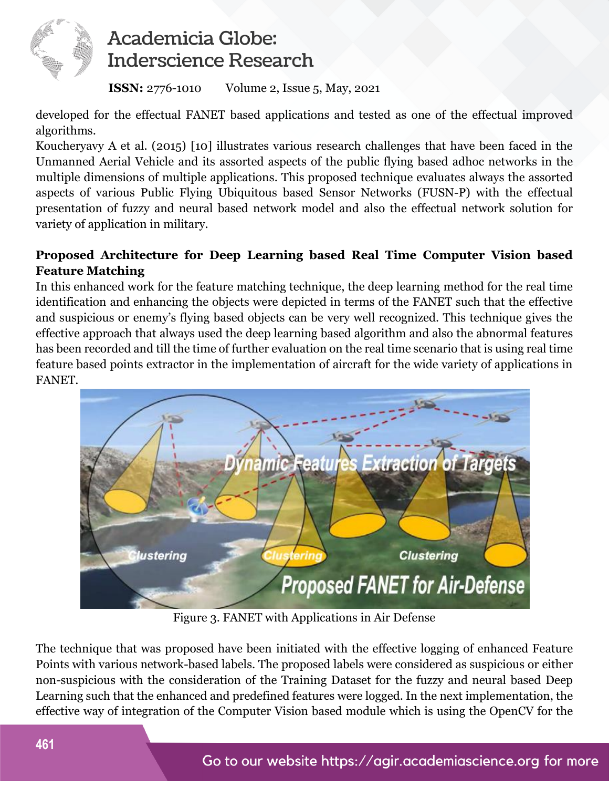

 **ISSN:** 2776-1010Volume 2, Issue 5, May, 2021

developed for the effectual FANET based applications and tested as one of the effectual improved algorithms.

Koucheryavy A et al. (2015) [10] illustrates various research challenges that have been faced in the Unmanned Aerial Vehicle and its assorted aspects of the public flying based adhoc networks in the multiple dimensions of multiple applications. This proposed technique evaluates always the assorted aspects of various Public Flying Ubiquitous based Sensor Networks (FUSN-P) with the effectual presentation of fuzzy and neural based network model and also the effectual network solution for variety of application in military.

### **Proposed Architecture for Deep Learning based Real Time Computer Vision based Feature Matching**

In this enhanced work for the feature matching technique, the deep learning method for the real time identification and enhancing the objects were depicted in terms of the FANET such that the effective and suspicious or enemy's flying based objects can be very well recognized. This technique gives the effective approach that always used the deep learning based algorithm and also the abnormal features has been recorded and till the time of further evaluation on the real time scenario that is using real time feature based points extractor in the implementation of aircraft for the wide variety of applications in FANET.



Figure 3. FANET with Applications in Air Defense

The technique that was proposed have been initiated with the effective logging of enhanced Feature Points with various network-based labels. The proposed labels were considered as suspicious or either non-suspicious with the consideration of the Training Dataset for the fuzzy and neural based Deep Learning such that the enhanced and predefined features were logged. In the next implementation, the effective way of integration of the Computer Vision based module which is using the OpenCV for the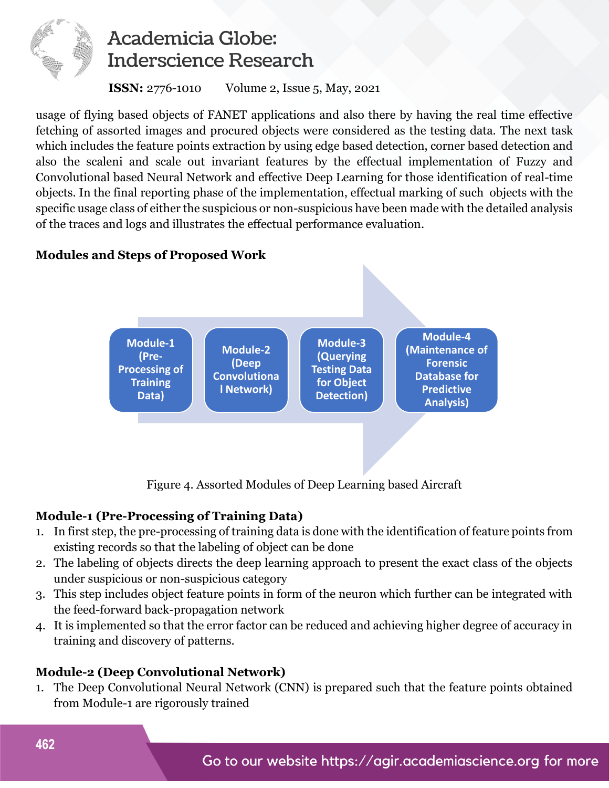

 **ISSN:** 2776-1010Volume 2, Issue 5, May, 2021

usage of flying based objects of FANET applications and also there by having the real time effective fetching of assorted images and procured objects were considered as the testing data. The next task which includes the feature points extraction by using edge based detection, corner based detection and also the scaleni and scale out invariant features by the effectual implementation of Fuzzy and Convolutional based Neural Network and effective Deep Learning for those identification of real-time objects. In the final reporting phase of the implementation, effectual marking of such objects with the specific usage class of either the suspicious or non-suspicious have been made with the detailed analysis of the traces and logs and illustrates the effectual performance evaluation.

### **Modules and Steps of Proposed Work**



Figure 4. Assorted Modules of Deep Learning based Aircraft

### **Module-1 (Pre-Processing of Training Data)**

- 1. In first step, the pre-processing of training data is done with the identification of feature points from existing records so that the labeling of object can be done
- 2. The labeling of objects directs the deep learning approach to present the exact class of the objects under suspicious or non-suspicious category
- 3. This step includes object feature points in form of the neuron which further can be integrated with the feed-forward back-propagation network
- 4. It is implemented so that the error factor can be reduced and achieving higher degree of accuracy in training and discovery of patterns.

### **Module-2 (Deep Convolutional Network)**

1. The Deep Convolutional Neural Network (CNN) is prepared such that the feature points obtained from Module-1 are rigorously trained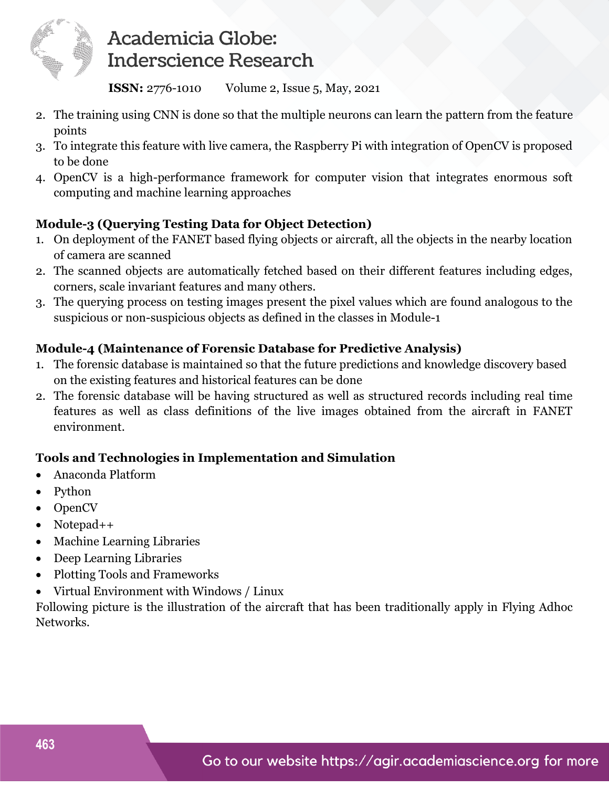

 **ISSN:** 2776-1010Volume 2, Issue 5, May, 2021

- 2. The training using CNN is done so that the multiple neurons can learn the pattern from the feature points
- 3. To integrate this feature with live camera, the Raspberry Pi with integration of OpenCV is proposed to be done
- 4. OpenCV is a high-performance framework for computer vision that integrates enormous soft computing and machine learning approaches

### **Module-3 (Querying Testing Data for Object Detection)**

- 1. On deployment of the FANET based flying objects or aircraft, all the objects in the nearby location of camera are scanned
- 2. The scanned objects are automatically fetched based on their different features including edges, corners, scale invariant features and many others.
- 3. The querying process on testing images present the pixel values which are found analogous to the suspicious or non-suspicious objects as defined in the classes in Module-1

### **Module-4 (Maintenance of Forensic Database for Predictive Analysis)**

- 1. The forensic database is maintained so that the future predictions and knowledge discovery based on the existing features and historical features can be done
- 2. The forensic database will be having structured as well as structured records including real time features as well as class definitions of the live images obtained from the aircraft in FANET environment.

### **Tools and Technologies in Implementation and Simulation**

- Anaconda Platform
- Python
- OpenCV
- Notepad++
- Machine Learning Libraries
- Deep Learning Libraries
- Plotting Tools and Frameworks
- Virtual Environment with Windows / Linux

Following picture is the illustration of the aircraft that has been traditionally apply in Flying Adhoc Networks.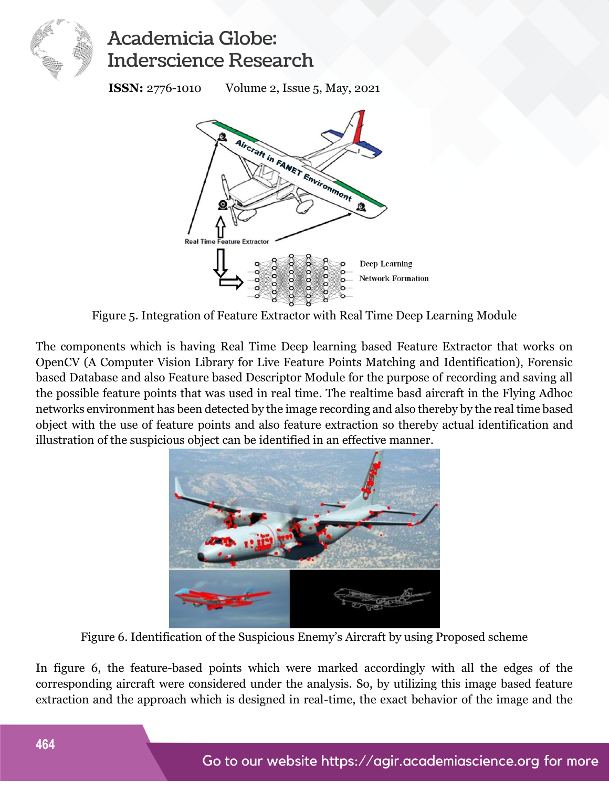

 **ISSN:** 2776-1010Volume 2, Issue 5, May, 2021



Figure 5. Integration of Feature Extractor with Real Time Deep Learning Module

The components which is having Real Time Deep learning based Feature Extractor that works on OpenCV (A Computer Vision Library for Live Feature Points Matching and Identification), Forensic based Database and also Feature based Descriptor Module for the purpose of recording and saving all the possible feature points that was used in real time. The realtime basd aircraft in the Flying Adhoc networks environment has been detected by the image recording and also thereby by the real time based object with the use of feature points and also feature extraction so thereby actual identification and illustration of the suspicious object can be identified in an effective manner.



Figure 6. Identification of the Suspicious Enemy's Aircraft by using Proposed scheme

In figure 6, the feature-based points which were marked accordingly with all the edges of the corresponding aircraft were considered under the analysis. So, by utilizing this image based feature extraction and the approach which is designed in real-time, the exact behavior of the image and the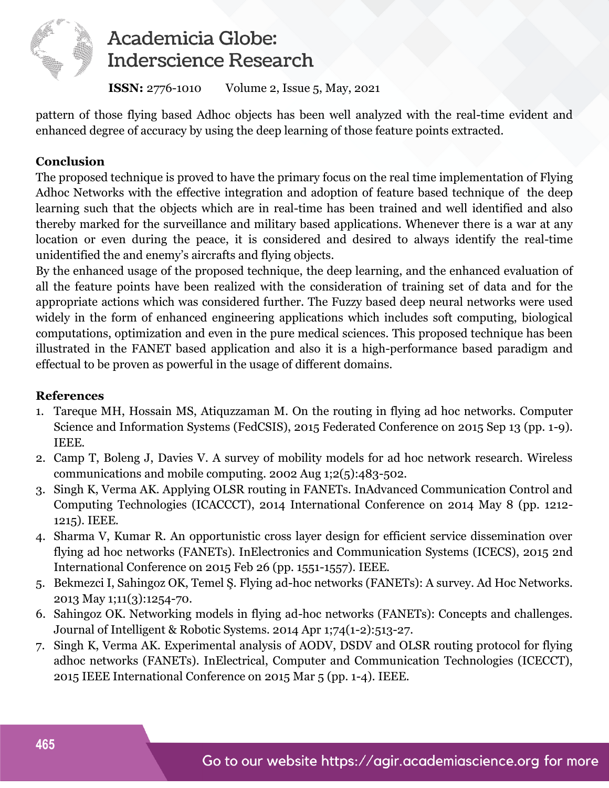

 **ISSN:** 2776-1010Volume 2, Issue 5, May, 2021

pattern of those flying based Adhoc objects has been well analyzed with the real-time evident and enhanced degree of accuracy by using the deep learning of those feature points extracted.

### **Conclusion**

The proposed technique is proved to have the primary focus on the real time implementation of Flying Adhoc Networks with the effective integration and adoption of feature based technique of the deep learning such that the objects which are in real-time has been trained and well identified and also thereby marked for the surveillance and military based applications. Whenever there is a war at any location or even during the peace, it is considered and desired to always identify the real-time unidentified the and enemy's aircrafts and flying objects.

By the enhanced usage of the proposed technique, the deep learning, and the enhanced evaluation of all the feature points have been realized with the consideration of training set of data and for the appropriate actions which was considered further. The Fuzzy based deep neural networks were used widely in the form of enhanced engineering applications which includes soft computing, biological computations, optimization and even in the pure medical sciences. This proposed technique has been illustrated in the FANET based application and also it is a high-performance based paradigm and effectual to be proven as powerful in the usage of different domains.

#### **References**

- 1. Tareque MH, Hossain MS, Atiquzzaman M. On the routing in flying ad hoc networks. Computer Science and Information Systems (FedCSIS), 2015 Federated Conference on 2015 Sep 13 (pp. 1-9). IEEE.
- 2. Camp T, Boleng J, Davies V. A survey of mobility models for ad hoc network research. Wireless communications and mobile computing. 2002 Aug 1;2(5):483-502.
- 3. Singh K, Verma AK. Applying OLSR routing in FANETs. InAdvanced Communication Control and Computing Technologies (ICACCCT), 2014 International Conference on 2014 May 8 (pp. 1212- 1215). IEEE.
- 4. Sharma V, Kumar R. An opportunistic cross layer design for efficient service dissemination over flying ad hoc networks (FANETs). InElectronics and Communication Systems (ICECS), 2015 2nd International Conference on 2015 Feb 26 (pp. 1551-1557). IEEE.
- 5. Bekmezci I, Sahingoz OK, Temel Ş. Flying ad-hoc networks (FANETs): A survey. Ad Hoc Networks. 2013 May 1;11(3):1254-70.
- 6. Sahingoz OK. Networking models in flying ad-hoc networks (FANETs): Concepts and challenges. Journal of Intelligent & Robotic Systems. 2014 Apr 1;74(1-2):513-27.
- 7. Singh K, Verma AK. Experimental analysis of AODV, DSDV and OLSR routing protocol for flying adhoc networks (FANETs). InElectrical, Computer and Communication Technologies (ICECCT), 2015 IEEE International Conference on 2015 Mar 5 (pp. 1-4). IEEE.